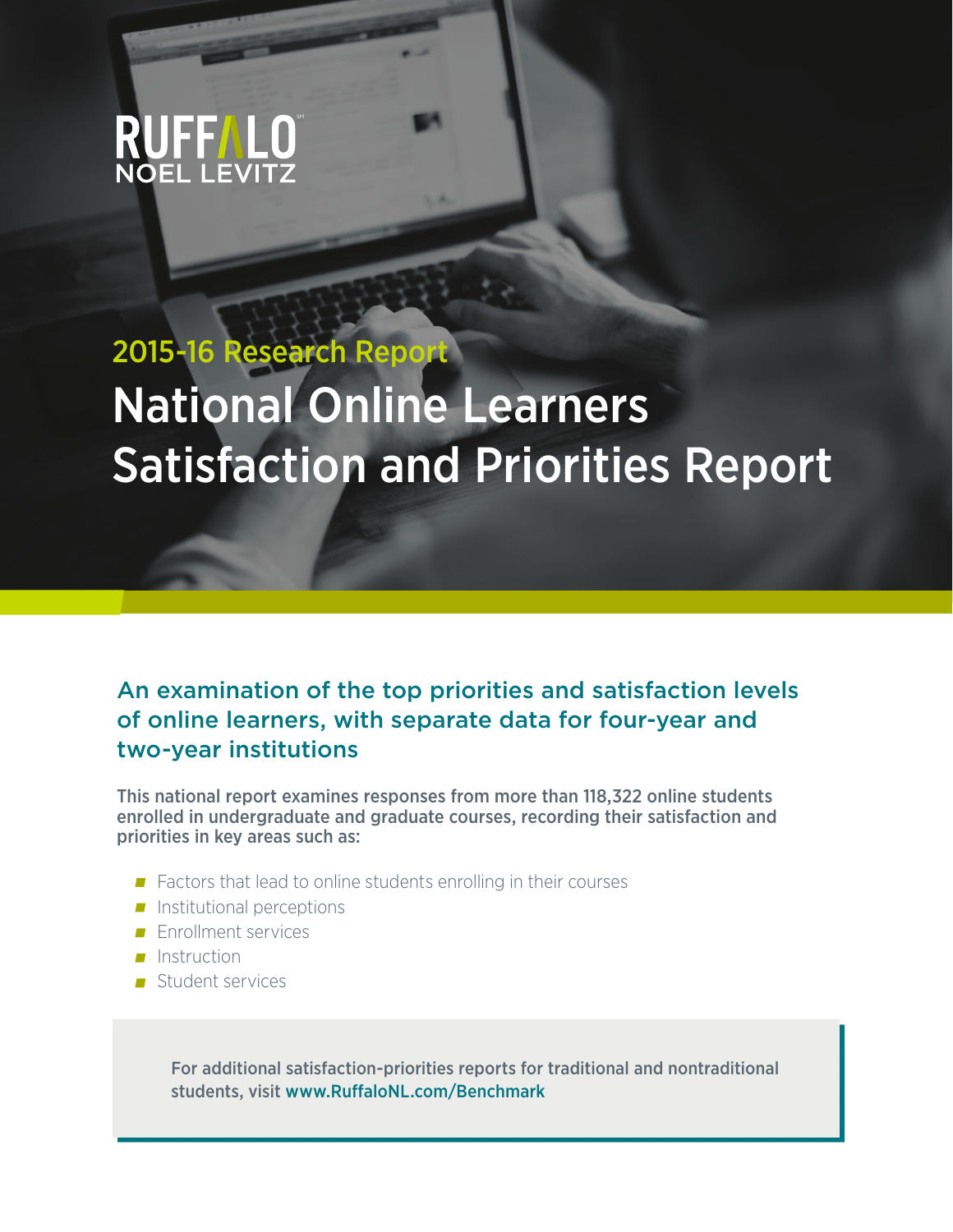

# 2015-16 Research Report National Online Learners Satisfaction and Priorities Report

## An examination of the top priorities and satisfaction levels of online learners, with separate data for four-year and two-year institutions

This national report examines responses from more than 118,322 online students enrolled in undergraduate and graduate courses, recording their satisfaction and priorities in key areas such as:

- Factors that lead to online students enrolling in their courses
- $\blacksquare$  Institutional perceptions
- **Enrollment services**
- $\blacksquare$  Instruction
- Student services

For additional satisfaction-priorities reports for traditional and nontraditional students, visit www.RuffaloNL.com/Benchmark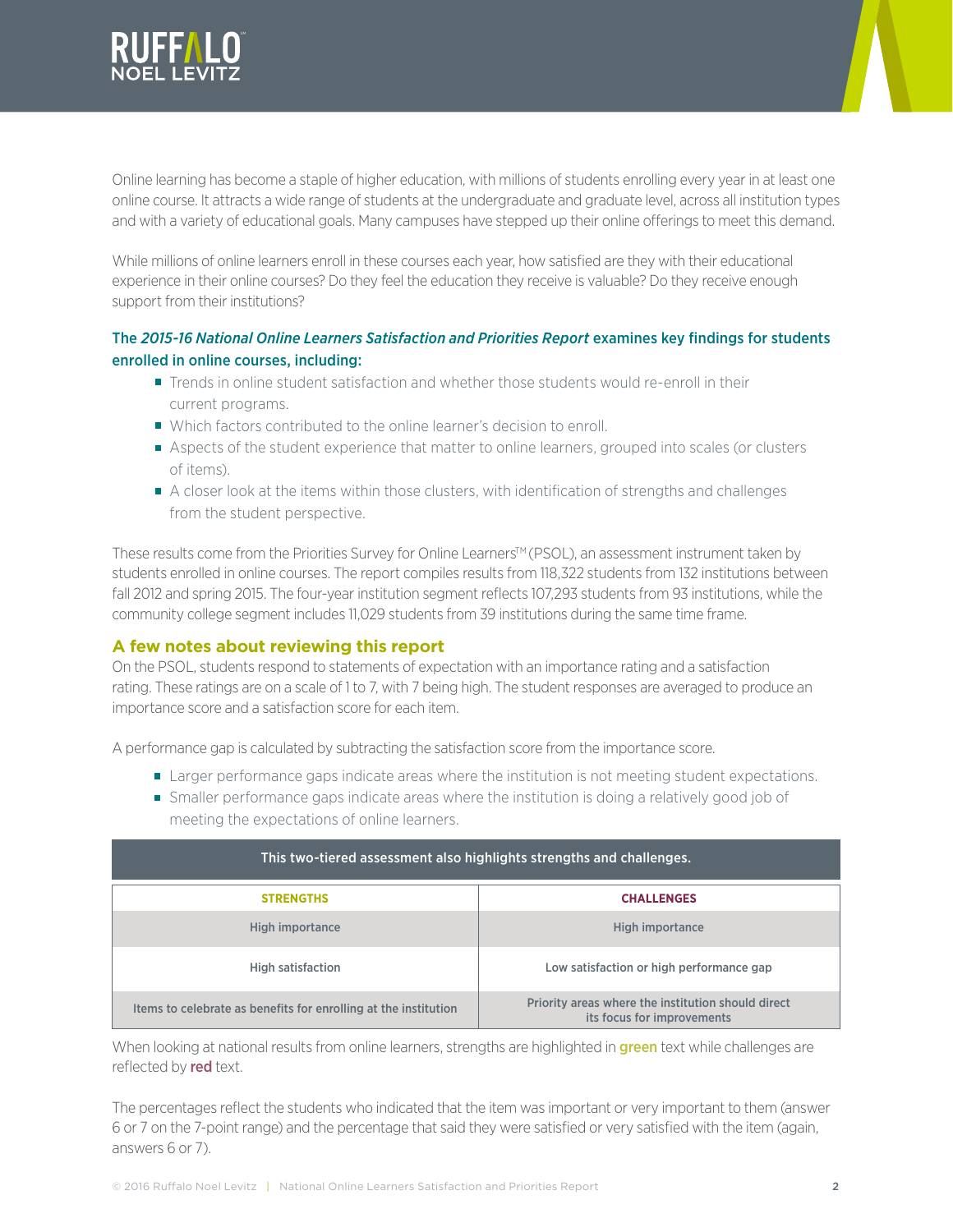

Online learning has become a staple of higher education, with millions of students enrolling every year in at least one online course. It attracts a wide range of students at the undergraduate and graduate level, across all institution types and with a variety of educational goals. Many campuses have stepped up their online offerings to meet this demand.

While millions of online learners enroll in these courses each year, how satisfied are they with their educational experience in their online courses? Do they feel the education they receive is valuable? Do they receive enough support from their institutions?

## The *2015-16 National Online Learners Satisfaction and Priorities Report* examines key findings for students enrolled in online courses, including:

- **Trends in online student satisfaction and whether those students would re-enroll in their** current programs.
- Which factors contributed to the online learner's decision to enroll.
- Aspects of the student experience that matter to online learners, grouped into scales (or clusters of items).
- A closer look at the items within those clusters, with identification of strengths and challenges from the student perspective.

These results come from the Priorities Survey for Online Learners™ (PSOL), an assessment instrument taken by students enrolled in online courses. The report compiles results from 118,322 students from 132 institutions between fall 2012 and spring 2015. The four-year institution segment reflects 107,293 students from 93 institutions, while the community college segment includes 11,029 students from 39 institutions during the same time frame.

## **A few notes about reviewing this report**

On the PSOL, students respond to statements of expectation with an importance rating and a satisfaction rating. These ratings are on a scale of 1 to 7, with 7 being high. The student responses are averaged to produce an importance score and a satisfaction score for each item.

A performance gap is calculated by subtracting the satisfaction score from the importance score.

- **Larger performance gaps indicate areas where the institution is not meeting student expectations.**
- Smaller performance gaps indicate areas where the institution is doing a relatively good job of meeting the expectations of online learners.

| This two-tiered assessment also highlights strengths and challenges. |                                                                                  |  |  |  |  |  |  |
|----------------------------------------------------------------------|----------------------------------------------------------------------------------|--|--|--|--|--|--|
| <b>STRENGTHS</b>                                                     | <b>CHALLENGES</b>                                                                |  |  |  |  |  |  |
| High importance                                                      | High importance                                                                  |  |  |  |  |  |  |
| <b>High satisfaction</b>                                             | Low satisfaction or high performance gap                                         |  |  |  |  |  |  |
| Items to celebrate as benefits for enrolling at the institution      | Priority areas where the institution should direct<br>its focus for improvements |  |  |  |  |  |  |

When looking at national results from online learners, strengths are highlighted in **green** text while challenges are reflected by **red** text.

The percentages reflect the students who indicated that the item was important or very important to them (answer 6 or 7 on the 7-point range) and the percentage that said they were satisfied or very satisfied with the item (again, answers 6 or 7).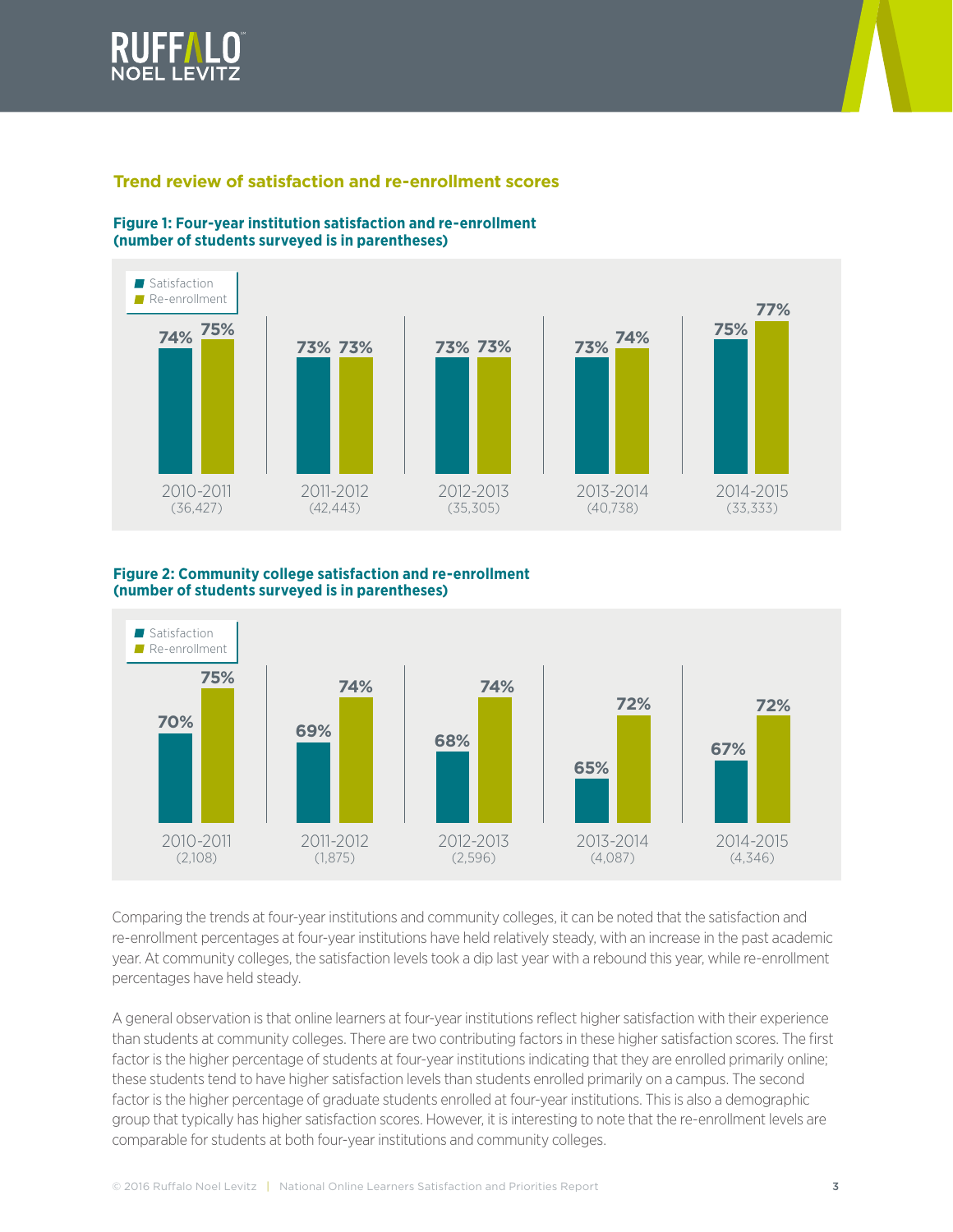



## **Trend review of satisfaction and re-enrollment scores**



#### **Figure 1: Four-year institution satisfaction and re-enrollment (number of students surveyed is in parentheses)**

#### **Figure 2: Community college satisfaction and re-enrollment (number of students surveyed is in parentheses)**



Comparing the trends at four-year institutions and community colleges, it can be noted that the satisfaction and re-enrollment percentages at four-year institutions have held relatively steady, with an increase in the past academic year. At community colleges, the satisfaction levels took a dip last year with a rebound this year, while re-enrollment percentages have held steady.

A general observation is that online learners at four-year institutions reflect higher satisfaction with their experience than students at community colleges. There are two contributing factors in these higher satisfaction scores. The first factor is the higher percentage of students at four-year institutions indicating that they are enrolled primarily online; these students tend to have higher satisfaction levels than students enrolled primarily on a campus. The second factor is the higher percentage of graduate students enrolled at four-year institutions. This is also a demographic group that typically has higher satisfaction scores. However, it is interesting to note that the re-enrollment levels are comparable for students at both four-year institutions and community colleges.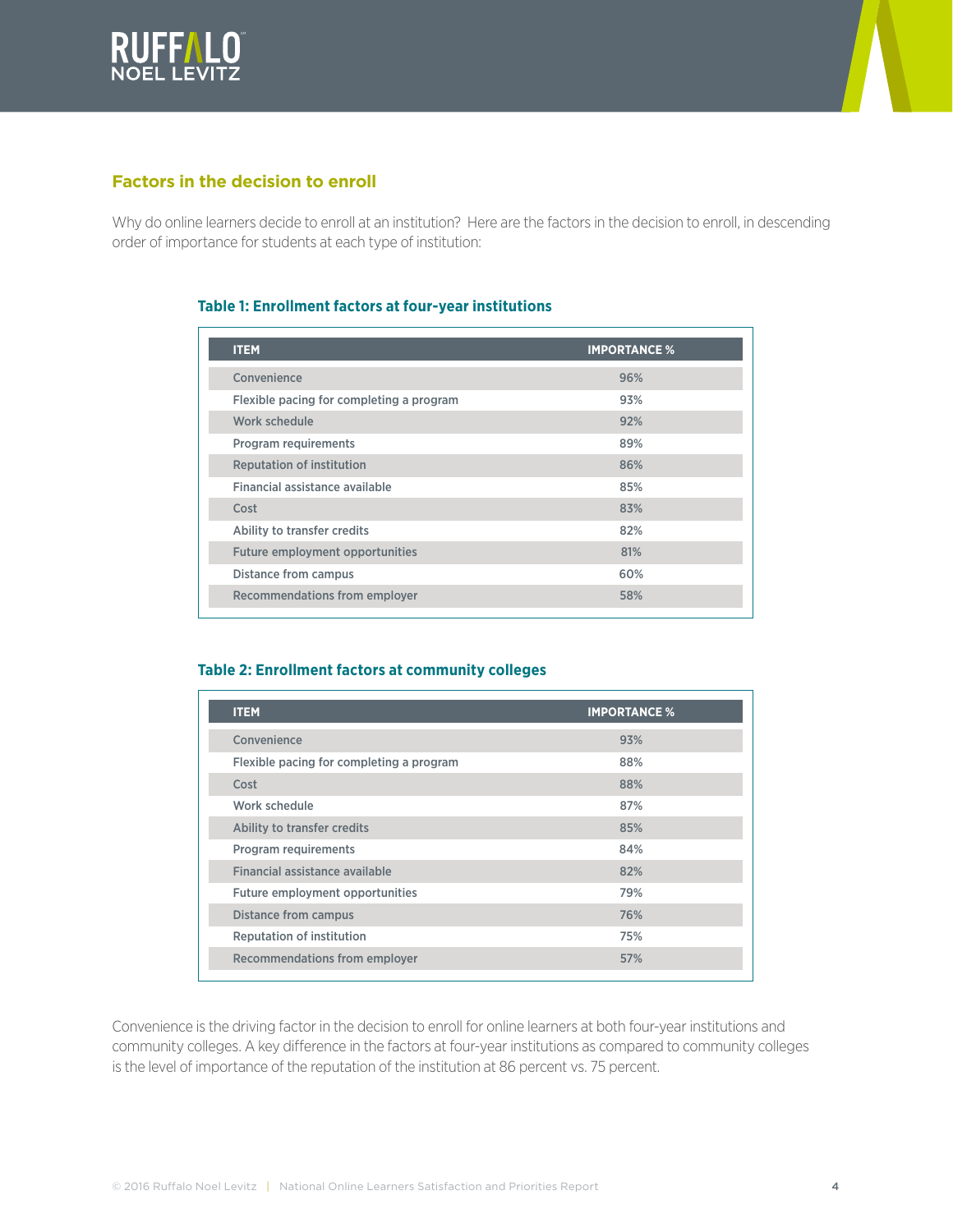



## **Factors in the decision to enroll**

Why do online learners decide to enroll at an institution? Here are the factors in the decision to enroll, in descending order of importance for students at each type of institution:

#### **Table 1: Enrollment factors at four-year institutions**

| <b>ITEM</b>                              | <b>IMPORTANCE %</b> |
|------------------------------------------|---------------------|
| Convenience                              | 96%                 |
| Flexible pacing for completing a program | 93%                 |
| Work schedule                            | 92%                 |
| Program requirements                     | 89%                 |
| <b>Reputation of institution</b>         | 86%                 |
| Financial assistance available           | 85%                 |
| Cost                                     | 83%                 |
| Ability to transfer credits              | 82%                 |
| Future employment opportunities          | 81%                 |
| Distance from campus                     | 60%                 |
| Recommendations from employer            | 58%                 |

#### **Table 2: Enrollment factors at community colleges**

| <b>ITEM</b>                              | <b>IMPORTANCE %</b> |
|------------------------------------------|---------------------|
| Convenience                              | 93%                 |
| Flexible pacing for completing a program | 88%                 |
| Cost                                     | 88%                 |
| Work schedule                            | 87%                 |
| Ability to transfer credits              | 85%                 |
| Program requirements                     | 84%                 |
| Financial assistance available           | 82%                 |
| Future employment opportunities          | 79%                 |
| <b>Distance from campus</b>              | 76%                 |
| <b>Reputation of institution</b>         | 75%                 |
| Recommendations from employer            | 57%                 |

Convenience is the driving factor in the decision to enroll for online learners at both four-year institutions and community colleges. A key difference in the factors at four-year institutions as compared to community colleges is the level of importance of the reputation of the institution at 86 percent vs. 75 percent.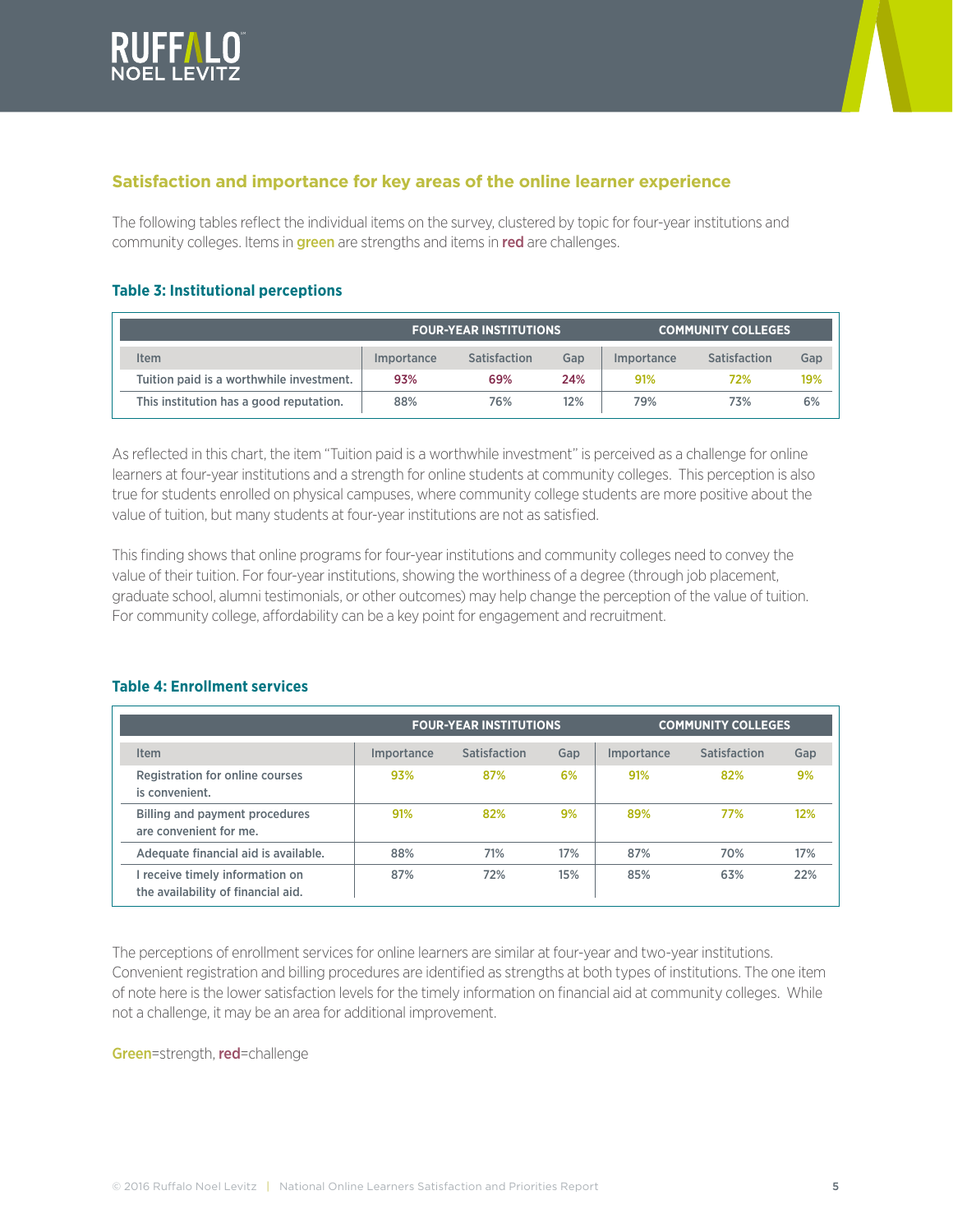



## **Satisfaction and importance for key areas of the online learner experience**

The following tables reflect the individual items on the survey, clustered by topic for four-year institutions and community colleges. Items in **green** are strengths and items in red are challenges.

#### **Table 3: Institutional perceptions**

|                                          |                   | <b>FOUR-YEAR INSTITUTIONS</b> |     | <b>COMMUNITY COLLEGES</b> |              |     |
|------------------------------------------|-------------------|-------------------------------|-----|---------------------------|--------------|-----|
| tem                                      | <i>Importance</i> | Satisfaction                  | Gap | <i>Importance</i>         | Satisfaction | Gap |
| Tuition paid is a worthwhile investment. | 93%               | 69%                           | 24% | 91%                       | 72%          | 19% |
| This institution has a good reputation.  | 88%               | 76%                           | 12% | 79%                       | 73%          | 6%  |

As reflected in this chart, the item "Tuition paid is a worthwhile investment" is perceived as a challenge for online learners at four-year institutions and a strength for online students at community colleges. This perception is also true for students enrolled on physical campuses, where community college students are more positive about the value of tuition, but many students at four-year institutions are not as satisfied.

This finding shows that online programs for four-year institutions and community colleges need to convey the value of their tuition. For four-year institutions, showing the worthiness of a degree (through job placement, graduate school, alumni testimonials, or other outcomes) may help change the perception of the value of tuition. For community college, affordability can be a key point for engagement and recruitment.

#### **Table 4: Enrollment services**

|                                                                       |                                 | <b>FOUR-YEAR INSTITUTIONS</b> | <b>COMMUNITY COLLEGES</b> |            |              |     |
|-----------------------------------------------------------------------|---------------------------------|-------------------------------|---------------------------|------------|--------------|-----|
| Item                                                                  | <i><u><b>Importance</b></u></i> | Satisfaction                  | Gap                       | Importance | Satisfaction | Gap |
| Registration for online courses<br>is convenient.                     | 93%                             | 87%                           | 6%                        | 91%        | 82%          | 9%  |
| Billing and payment procedures<br>are convenient for me.              | 91%                             | 82%                           | 9%                        | 89%        | 77%          | 12% |
| Adequate financial aid is available.                                  | 88%                             | 71%                           | 17%                       | 87%        | 70%          | 17% |
| I receive timely information on<br>the availability of financial aid. | 87%                             | 72%                           | 15%                       | 85%        | 63%          | 22% |

The perceptions of enrollment services for online learners are similar at four-year and two-year institutions. Convenient registration and billing procedures are identified as strengths at both types of institutions. The one item of note here is the lower satisfaction levels for the timely information on financial aid at community colleges. While not a challenge, it may be an area for additional improvement.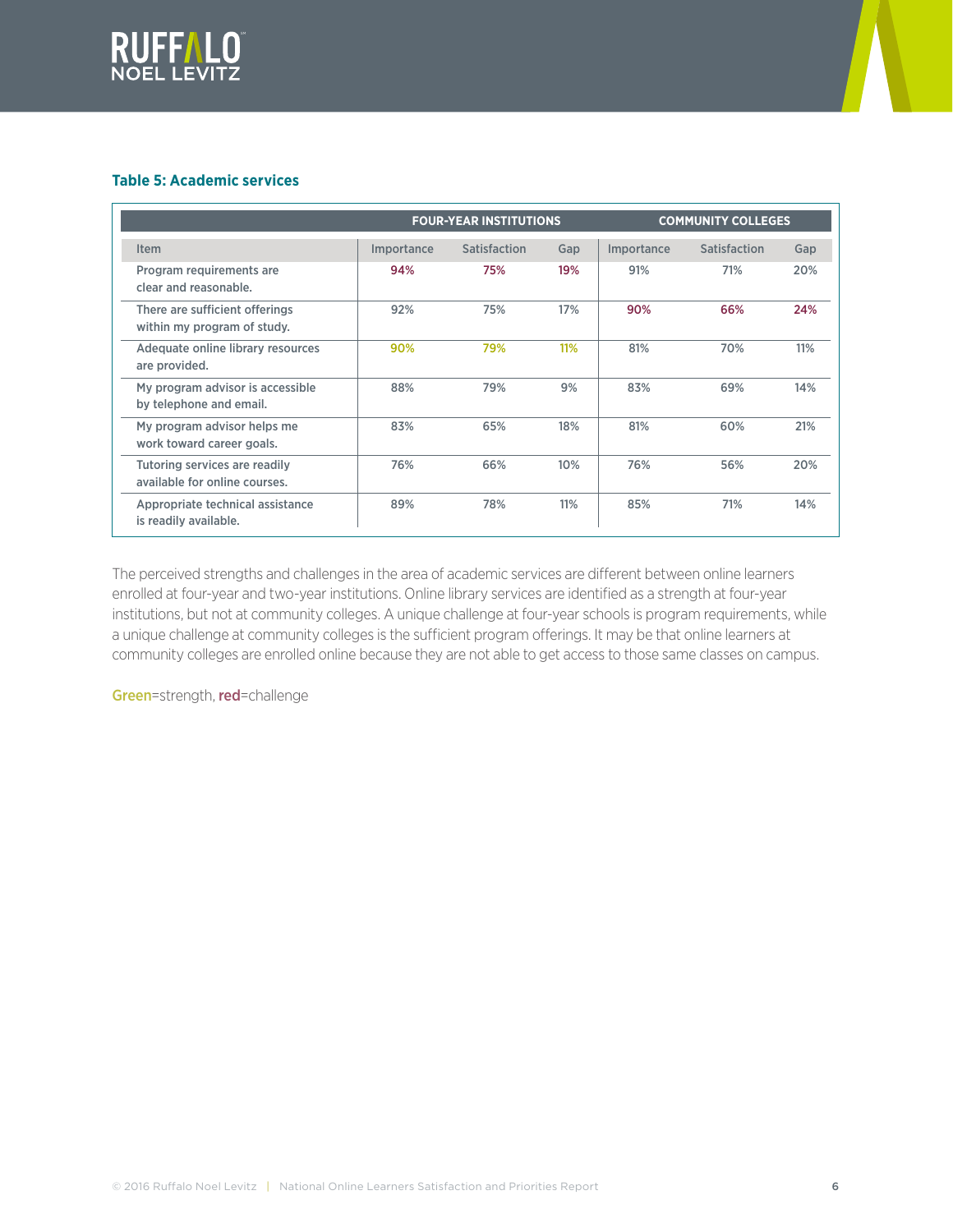



## **Table 5: Academic services**

|                                                                | <b>COMMUNITY COLLEGES</b><br><b>FOUR-YEAR INSTITUTIONS</b> |                     |     |            |              |     |
|----------------------------------------------------------------|------------------------------------------------------------|---------------------|-----|------------|--------------|-----|
| <b>Item</b>                                                    | Importance                                                 | <b>Satisfaction</b> | Gap | Importance | Satisfaction | Gap |
| Program requirements are<br>clear and reasonable.              | 94%                                                        | 75%                 | 19% | 91%        | 71%          | 20% |
| There are sufficient offerings<br>within my program of study.  | 92%                                                        | 75%                 | 17% | 90%        | 66%          | 24% |
| Adequate online library resources<br>are provided.             | 90%                                                        | 79%                 | 11% | 81%        | 70%          | 11% |
| My program advisor is accessible<br>by telephone and email.    | 88%                                                        | 79%                 | 9%  | 83%        | 69%          | 14% |
| My program advisor helps me<br>work toward career goals.       | 83%                                                        | 65%                 | 18% | 81%        | 60%          | 21% |
| Tutoring services are readily<br>available for online courses. | 76%                                                        | 66%                 | 10% | 76%        | 56%          | 20% |
| Appropriate technical assistance<br>is readily available.      | 89%                                                        | 78%                 | 11% | 85%        | 71%          | 14% |

The perceived strengths and challenges in the area of academic services are different between online learners enrolled at four-year and two-year institutions. Online library services are identified as a strength at four-year institutions, but not at community colleges. A unique challenge at four-year schools is program requirements, while a unique challenge at community colleges is the sufficient program offerings. It may be that online learners at community colleges are enrolled online because they are not able to get access to those same classes on campus.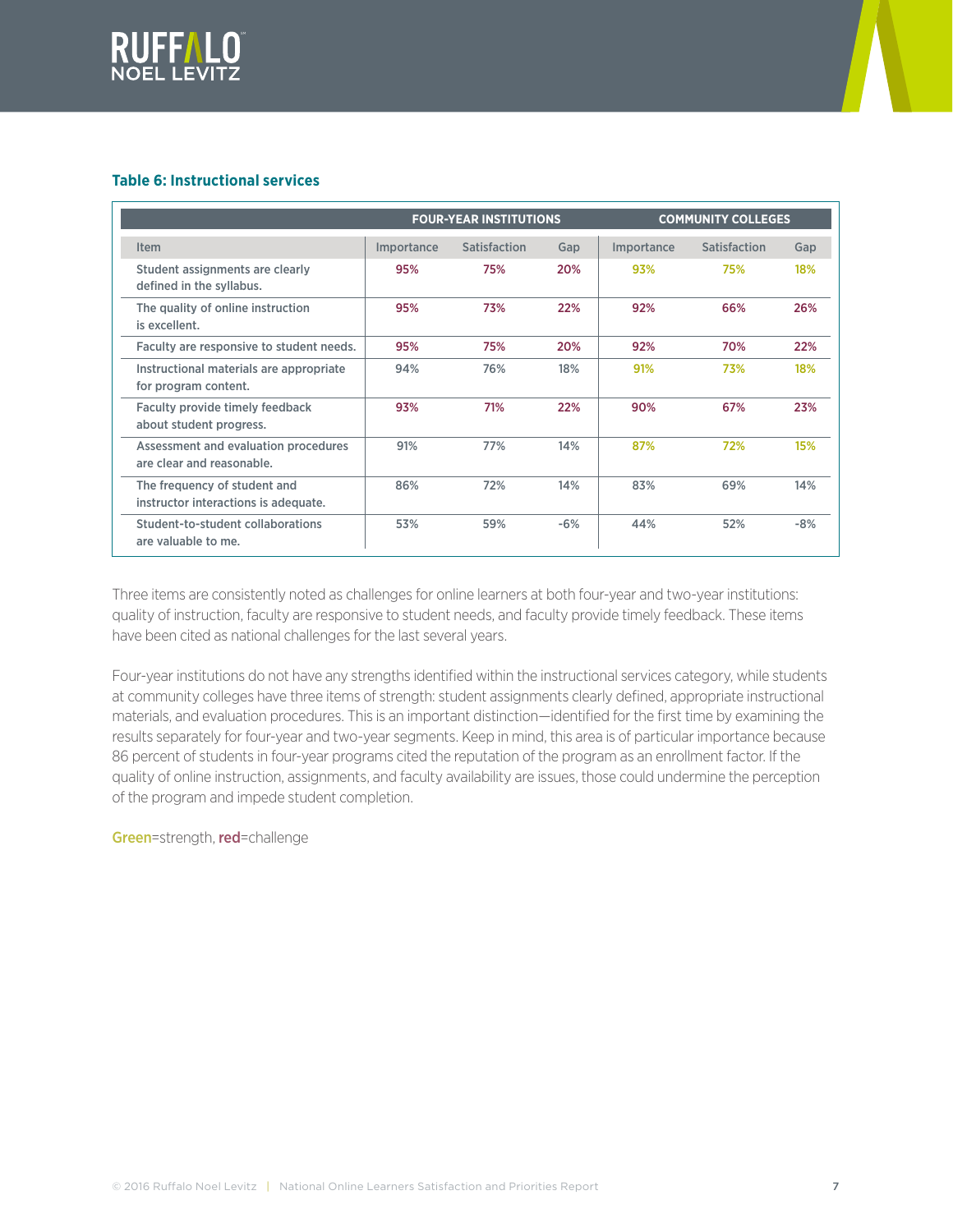



## **Table 6: Instructional services**

|                                                                      |            | <b>FOUR-YEAR INSTITUTIONS</b> |       | <b>COMMUNITY COLLEGES</b> |                     |       |  |
|----------------------------------------------------------------------|------------|-------------------------------|-------|---------------------------|---------------------|-------|--|
| Item                                                                 | Importance | Satisfaction                  | Gap   | Importance                | <b>Satisfaction</b> | Gap   |  |
| Student assignments are clearly<br>defined in the syllabus.          | 95%        | 75%                           | 20%   | 93%                       | 75%                 | 18%   |  |
| The quality of online instruction<br>is excellent.                   | 95%        | 73%                           | 22%   | 92%                       | 66%                 | 26%   |  |
| Faculty are responsive to student needs.                             | 95%        | 75%                           | 20%   | 92%                       | 70%                 | 22%   |  |
| Instructional materials are appropriate<br>for program content.      | 94%        | 76%                           | 18%   | 91%                       | 73%                 | 18%   |  |
| Faculty provide timely feedback<br>about student progress.           | 93%        | 71%                           | 22%   | 90%                       | 67%                 | 23%   |  |
| Assessment and evaluation procedures<br>are clear and reasonable.    | 91%        | 77%                           | 14%   | 87%                       | 72%                 | 15%   |  |
| The frequency of student and<br>instructor interactions is adequate. | 86%        | 72%                           | 14%   | 83%                       | 69%                 | 14%   |  |
| Student-to-student collaborations<br>are valuable to me.             | 53%        | 59%                           | $-6%$ | 44%                       | 52%                 | $-8%$ |  |

Three items are consistently noted as challenges for online learners at both four-year and two-year institutions: quality of instruction, faculty are responsive to student needs, and faculty provide timely feedback. These items have been cited as national challenges for the last several years.

Four-year institutions do not have any strengths identified within the instructional services category, while students at community colleges have three items of strength: student assignments clearly defined, appropriate instructional materials, and evaluation procedures. This is an important distinction—identified for the first time by examining the results separately for four-year and two-year segments. Keep in mind, this area is of particular importance because 86 percent of students in four-year programs cited the reputation of the program as an enrollment factor. If the quality of online instruction, assignments, and faculty availability are issues, those could undermine the perception of the program and impede student completion.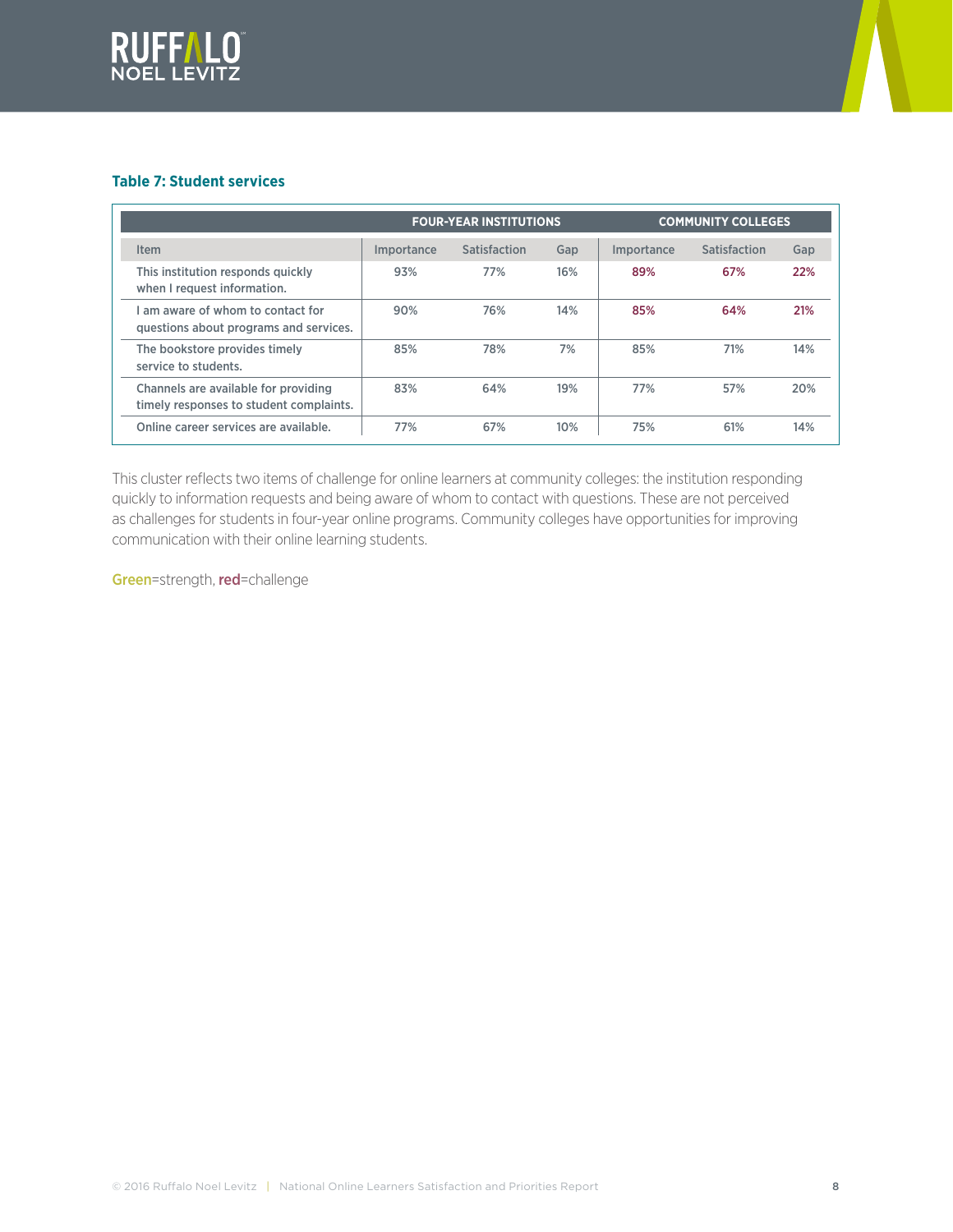



## **Table 7: Student services**

|                                                                                 |                   | <b>FOUR-YEAR INSTITUTIONS</b> |     | <b>COMMUNITY COLLEGES</b> |              |     |  |
|---------------------------------------------------------------------------------|-------------------|-------------------------------|-----|---------------------------|--------------|-----|--|
| Item                                                                            | <i>Importance</i> | Satisfaction                  | Gap | Importance                | Satisfaction | Gap |  |
| This institution responds quickly<br>when I request information.                | 93%               | 77%                           | 16% | 89%                       | 67%          | 22% |  |
| am aware of whom to contact for<br>questions about programs and services.       | 90%               | 76%                           | 14% | 85%                       | 64%          | 21% |  |
| The bookstore provides timely<br>service to students.                           | 85%               | 78%                           | 7%  | 85%                       | 71%          | 14% |  |
| Channels are available for providing<br>timely responses to student complaints. | 83%               | 64%                           | 19% | 77%                       | 57%          | 20% |  |
| Online career services are available.                                           | 77%               | 67%                           | 10% | 75%                       | 61%          | 14% |  |

This cluster reflects two items of challenge for online learners at community colleges: the institution responding quickly to information requests and being aware of whom to contact with questions. These are not perceived as challenges for students in four-year online programs. Community colleges have opportunities for improving communication with their online learning students.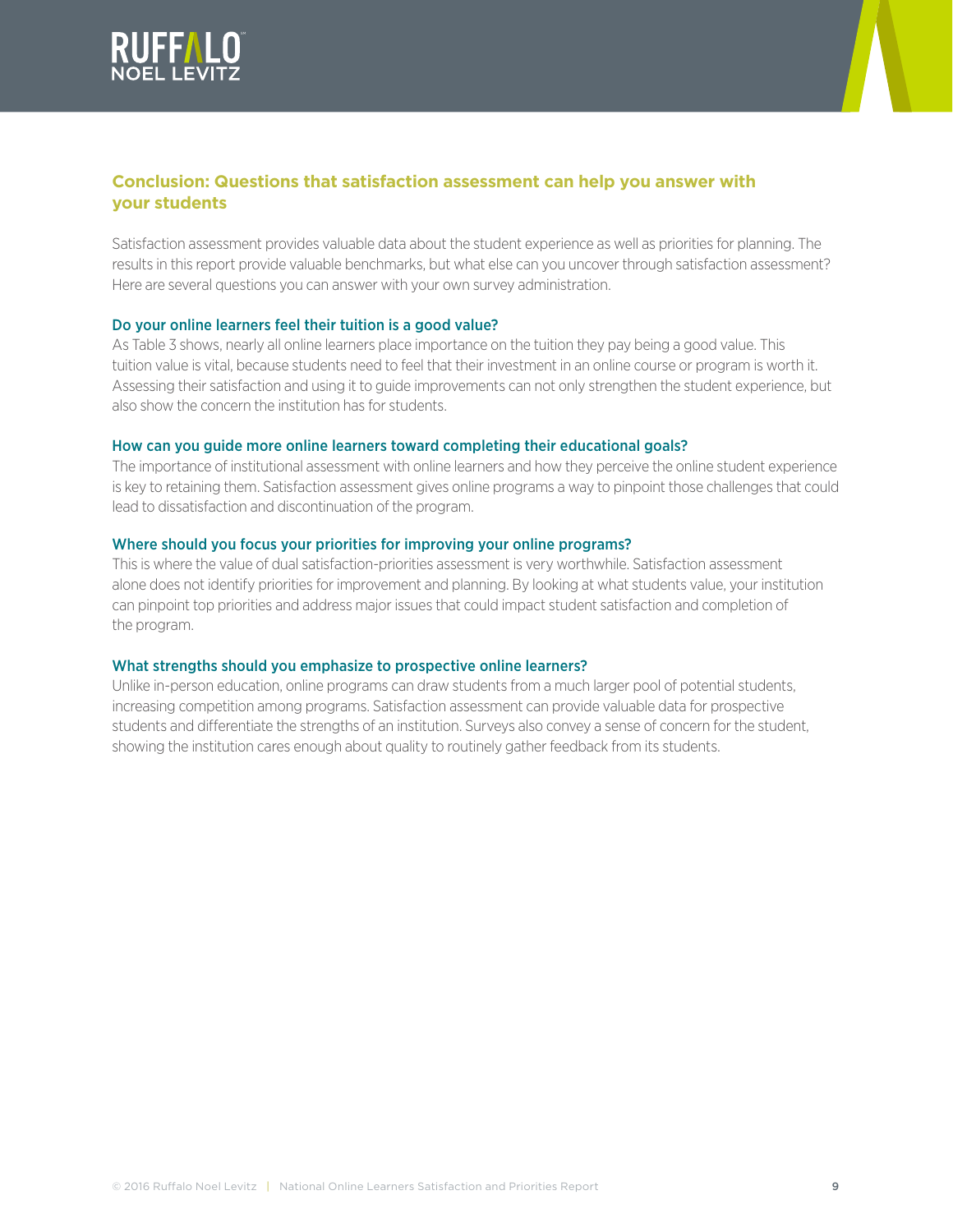



## **Conclusion: Questions that satisfaction assessment can help you answer with your students**

Satisfaction assessment provides valuable data about the student experience as well as priorities for planning. The results in this report provide valuable benchmarks, but what else can you uncover through satisfaction assessment? Here are several questions you can answer with your own survey administration.

## Do your online learners feel their tuition is a good value?

As Table 3 shows, nearly all online learners place importance on the tuition they pay being a good value. This tuition value is vital, because students need to feel that their investment in an online course or program is worth it. Assessing their satisfaction and using it to guide improvements can not only strengthen the student experience, but also show the concern the institution has for students.

## How can you guide more online learners toward completing their educational goals?

The importance of institutional assessment with online learners and how they perceive the online student experience is key to retaining them. Satisfaction assessment gives online programs a way to pinpoint those challenges that could lead to dissatisfaction and discontinuation of the program.

## Where should you focus your priorities for improving your online programs?

This is where the value of dual satisfaction-priorities assessment is very worthwhile. Satisfaction assessment alone does not identify priorities for improvement and planning. By looking at what students value, your institution can pinpoint top priorities and address major issues that could impact student satisfaction and completion of the program.

## What strengths should you emphasize to prospective online learners?

Unlike in-person education, online programs can draw students from a much larger pool of potential students, increasing competition among programs. Satisfaction assessment can provide valuable data for prospective students and differentiate the strengths of an institution. Surveys also convey a sense of concern for the student, showing the institution cares enough about quality to routinely gather feedback from its students.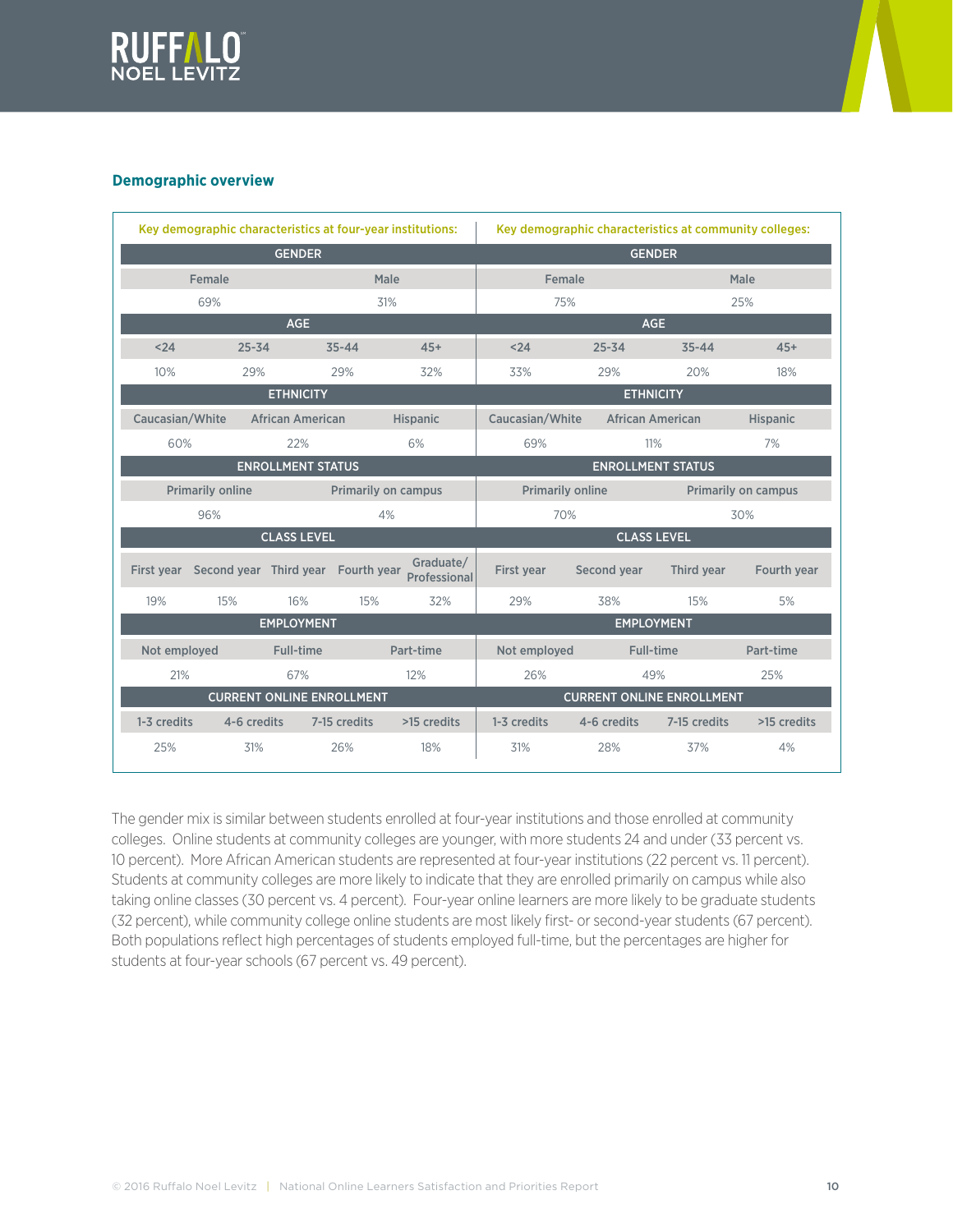



#### **Demographic overview**

| Key demographic characteristics at four-year institutions: |                                               |                                  |                            | Key demographic characteristics at community colleges: |                          |                                  |                     |                 |  |
|------------------------------------------------------------|-----------------------------------------------|----------------------------------|----------------------------|--------------------------------------------------------|--------------------------|----------------------------------|---------------------|-----------------|--|
| <b>GENDER</b>                                              |                                               |                                  |                            |                                                        | <b>GENDER</b>            |                                  |                     |                 |  |
|                                                            | Female<br>Male                                |                                  | Female                     |                                                        |                          | Male                             |                     |                 |  |
|                                                            | 69%                                           |                                  | 31%                        |                                                        | 75%                      |                                  |                     | 25%             |  |
|                                                            |                                               | <b>AGE</b>                       |                            |                                                        |                          | <b>AGE</b>                       |                     |                 |  |
| < 24                                                       | $25 - 34$                                     |                                  | $35 - 44$                  | $45+$                                                  | $24$                     | $25 - 34$                        | $35 - 44$           | $45+$           |  |
| 10%                                                        | 29%                                           |                                  | 29%                        | 32%                                                    | 33%                      | 29%                              | 20%                 | 18%             |  |
|                                                            |                                               | <b>ETHNICITY</b>                 |                            |                                                        |                          | <b>ETHNICITY</b>                 |                     |                 |  |
| Caucasian/White                                            |                                               | <b>African American</b>          |                            | <b>Hispanic</b>                                        | Caucasian/White          | <b>African American</b>          |                     | <b>Hispanic</b> |  |
| 60%                                                        |                                               | 22%                              |                            | 6%                                                     | 69%                      | 11%                              |                     | 7%              |  |
| <b>ENROLLMENT STATUS</b>                                   |                                               |                                  |                            |                                                        | <b>ENROLLMENT STATUS</b> |                                  |                     |                 |  |
|                                                            | <b>Primarily online</b>                       |                                  | <b>Primarily on campus</b> |                                                        | <b>Primarily online</b>  |                                  | Primarily on campus |                 |  |
|                                                            | 96%                                           |                                  | 4%                         |                                                        | 70%<br>30%               |                                  |                     |                 |  |
|                                                            |                                               | <b>CLASS LEVEL</b>               |                            |                                                        |                          | <b>CLASS LEVEL</b>               |                     |                 |  |
|                                                            | First year Second year Third year Fourth year |                                  |                            | Graduate/<br>Professional                              | First year               | Second year                      | Third year          | Fourth year     |  |
| 19%                                                        | 15%                                           | 16%                              | 15%                        | 32%                                                    | 29%                      | 38%                              | 15%                 | 5%              |  |
|                                                            |                                               | <b>EMPLOYMENT</b>                |                            |                                                        |                          | <b>EMPLOYMENT</b>                |                     |                 |  |
| Not employed                                               |                                               | Full-time                        |                            | Part-time                                              | Not employed             | Full-time                        |                     | Part-time       |  |
| 21%                                                        |                                               | 67%                              |                            | 12%                                                    | 26%                      | 49%                              |                     | 25%             |  |
|                                                            |                                               | <b>CURRENT ONLINE ENROLLMENT</b> |                            |                                                        |                          | <b>CURRENT ONLINE ENROLLMENT</b> |                     |                 |  |
| 1-3 credits                                                | 4-6 credits                                   |                                  | 7-15 credits               | >15 credits                                            | 1-3 credits              | 4-6 credits                      | 7-15 credits        | >15 credits     |  |
| 25%                                                        | 31%                                           |                                  | 26%                        | 18%                                                    | 31%                      | 28%                              | 37%                 | 4%              |  |

The gender mix is similar between students enrolled at four-year institutions and those enrolled at community colleges. Online students at community colleges are younger, with more students 24 and under (33 percent vs. 10 percent). More African American students are represented at four-year institutions (22 percent vs. 11 percent). Students at community colleges are more likely to indicate that they are enrolled primarily on campus while also taking online classes (30 percent vs. 4 percent). Four-year online learners are more likely to be graduate students (32 percent), while community college online students are most likely first- or second-year students (67 percent). Both populations reflect high percentages of students employed full-time, but the percentages are higher for students at four-year schools (67 percent vs. 49 percent).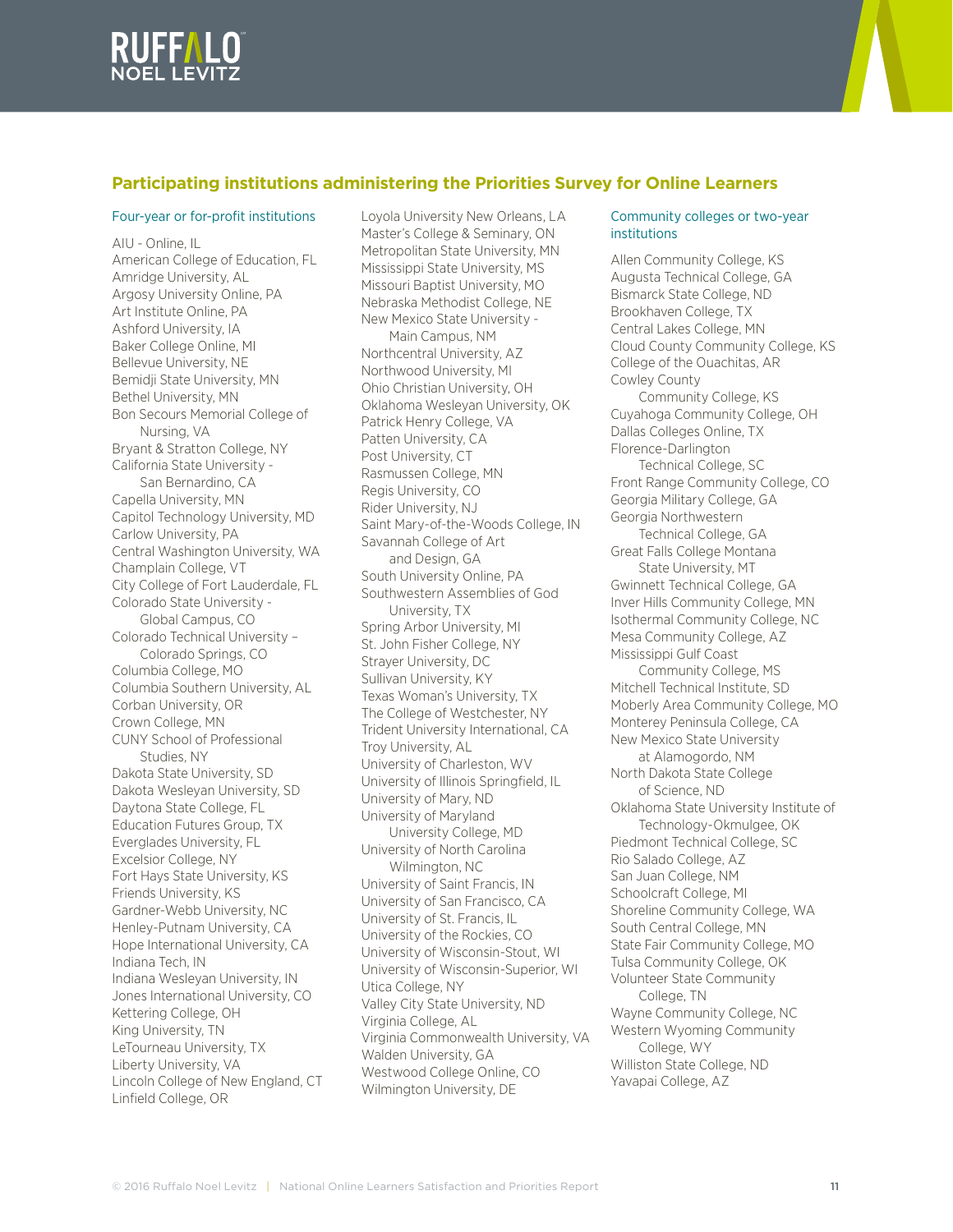

## **Participating institutions administering the Priorities Survey for Online Learners**

#### Four-year or for-profit institutions

AIU - Online, IL American College of Education, FL Amridge University, AL Argosy University Online, PA Art Institute Online, PA Ashford University, IA Baker College Online, MI Bellevue University, NE Bemidji State University, MN Bethel University, MN Bon Secours Memorial College of Nursing, VA Bryant & Stratton College, NY California State University - San Bernardino, CA Capella University, MN Capitol Technology University, MD Carlow University, PA Central Washington University, WA Champlain College, VT City College of Fort Lauderdale, FL Colorado State University - Global Campus, CO Colorado Technical University – Colorado Springs, CO Columbia College, MO Columbia Southern University, AL Corban University, OR Crown College, MN CUNY School of Professional Studies, NY Dakota State University, SD Dakota Wesleyan University, SD Daytona State College, FL Education Futures Group, TX Everglades University, FL Excelsior College, NY Fort Hays State University, KS Friends University, KS Gardner-Webb University, NC Henley-Putnam University, CA Hope International University, CA Indiana Tech, IN Indiana Wesleyan University, IN Jones International University, CO Kettering College, OH King University, TN LeTourneau University, TX Liberty University, VA Lincoln College of New England, CT Linfield College, OR

Loyola University New Orleans, LA Master's College & Seminary, ON Metropolitan State University, MN Mississippi State University, MS Missouri Baptist University, MO Nebraska Methodist College, NE New Mexico State University - Main Campus, NM Northcentral University, AZ Northwood University, MI Ohio Christian University, OH Oklahoma Wesleyan University, OK Patrick Henry College, VA Patten University, CA Post University, CT Rasmussen College, MN Regis University, CO Rider University, NJ Saint Mary-of-the-Woods College, IN Savannah College of Art and Design, GA South University Online, PA Southwestern Assemblies of God University, TX Spring Arbor University, MI St. John Fisher College, NY Strayer University, DC Sullivan University, KY Texas Woman's University, TX The College of Westchester, NY Trident University International, CA Troy University, AL University of Charleston, WV University of Illinois Springfield, IL University of Mary, ND University of Maryland University College, MD University of North Carolina Wilmington, NC University of Saint Francis, IN University of San Francisco, CA University of St. Francis, IL University of the Rockies, CO University of Wisconsin-Stout, WI University of Wisconsin-Superior, WI Utica College, NY Valley City State University, ND Virginia College, AL Virginia Commonwealth University, VA Walden University, GA Westwood College Online, CO Wilmington University, DE

#### Community colleges or two-year institutions

Allen Community College, KS Augusta Technical College, GA Bismarck State College, ND Brookhaven College, TX Central Lakes College, MN Cloud County Community College, KS College of the Ouachitas, AR Cowley County Community College, KS Cuyahoga Community College, OH Dallas Colleges Online, TX Florence-Darlington Technical College, SC Front Range Community College, CO Georgia Military College, GA Georgia Northwestern Technical College, GA Great Falls College Montana State University, MT Gwinnett Technical College, GA Inver Hills Community College, MN Isothermal Community College, NC Mesa Community College, AZ Mississippi Gulf Coast Community College, MS Mitchell Technical Institute, SD Moberly Area Community College, MO Monterey Peninsula College, CA New Mexico State University at Alamogordo, NM North Dakota State College of Science, ND Oklahoma State University Institute of Technology-Okmulgee, OK Piedmont Technical College, SC Rio Salado College, AZ San Juan College, NM Schoolcraft College, MI Shoreline Community College, WA South Central College, MN State Fair Community College, MO Tulsa Community College, OK Volunteer State Community College, TN Wayne Community College, NC Western Wyoming Community College, WY Williston State College, ND Yavapai College, AZ